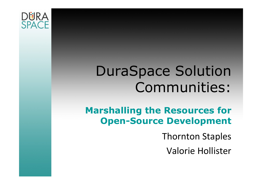

## DuraSpace Solution Communities:

#### Marshalling the Resources for Open-Source Development

Thornton Staples

Valorie Hollister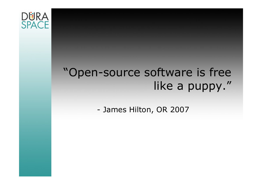

## "Open-source software is free like a puppy."

-James Hilton, OR 2007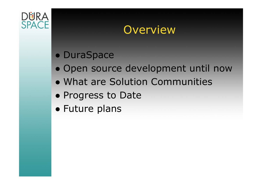

#### **Overview**

# ● DuraSpace

- Open source development until now<br>• What are Selution Cemmunities
- What are Solution Communities
- Progress to Date<br>• Future plane
- Future plans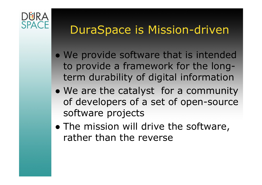# **SPACE**

#### DuraSpace is Mission-driven

- $\bullet$ We provide software that is intended<br>to provide a framework for the longto provide a framework for the longterm durability of digital information
- ●We are the catalyst for a community<br>
of developers of a set of open-source of developers of a set of open-source software projects
- ●The mission will drive the software,<br>rather than the reverse rather than the reverse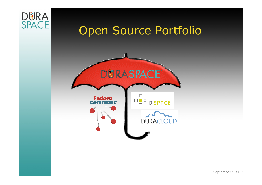

September 9, 2009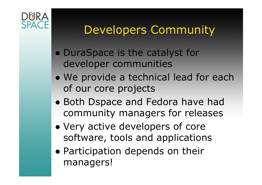

## Developers Community

- $\bullet$ DuraSpace is the catalyst for<br>developer communities developer communities
- $\bullet$ We provide a technical lead for each<br>of our core projects of our core projects
- Both Dspace and Fedora have had community managers for releases
- ●Very active developers of core<br>software tools and annlication software, tools and applications
- Participation depends on their<br>managers managers!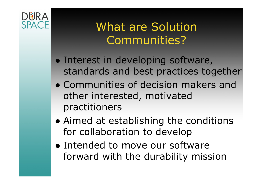

#### What are Solution Communities?

- $\bullet$ Interest in developing software,<br>standards and hest practices too standards and best practices together
- $\bullet$ Communities of decision makers and<br>
other interested motivated other interested, motivated practitioners
- Aimed at establishing the conditions<br>• for collaboration to develon for collaboration to develop
- ●Intended to move our software<br>forward with the durability miss forward with the durability mission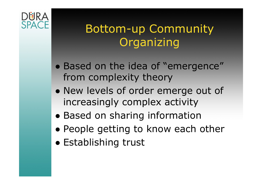# **SPACE**

## Bottom-up Community Organizing

- $\bullet$ Based on the idea of "emergence"<br>from complexity theory from complexity theory
- ●New levels of order emerge out of<br>increasingly complex activity increasingly complex activity
- ●Based on sharing information
- People getting to know each other<br>• Establishing trust
- Establishing trust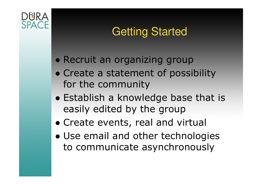#### Getting Started

- Recruit an organizing group
- $\bullet$ Create a statement of possibility<br>for the community for the community
- Establish a knowledge base that is<br>easily edited by the group easily edited by the group
- Create events, real and virtual
- Use email and other technologies<br>To communicate asynchronously to communicate asynchronously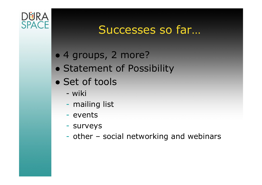

#### Successes so far…

# ● 4 groups, 2 more?

- $\bullet$ Statement of Possibility
- $\bullet$ Set of tools
	- wiki<br>ima
	- mailing list
	- $\mathcal{L}_{\mathcal{A}}$ - events
	- surveys
	- other – social networking and webinars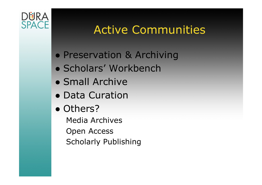

#### Active Communities

- Preservation & Archiving
- Scholars' Workbench<br>• Small Archive
- Small Archive<br>• Data Curation
- Data Curation
- Others?<br>Media Ar
	- Media ArchivesOpen AccessScholarly Publishing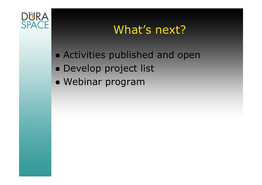

## What's next?

- Activities published and open
- Develop project list
- Webinar program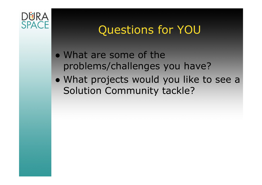

#### Questions for YOU

- $\bullet$ What are some of the<br>problems/challenges v problems/challenges you have?
- What projects would you like to see a Solution Community tackle?